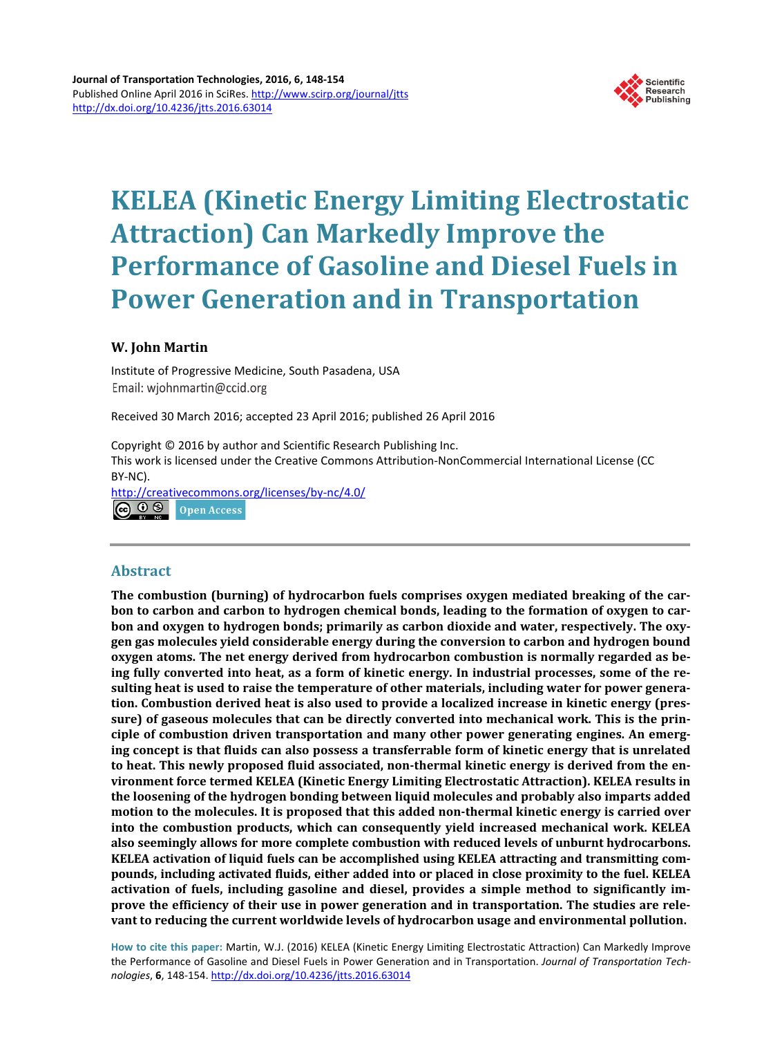

# **KELEA (Kinetic Energy Limiting Electrostatic Attraction) Can Markedly Improve the Performance of Gasoline and Diesel Fuels in Power Generation and in Transportation**

# **W. John Martin**

Institute of Progressive Medicine, South Pasadena, USA Email: wjohnmartin@ccid.org

Received 30 March 2016; accepted 23 April 2016; published 26 April 2016

Copyright © 2016 by author and Scientific Research Publishing Inc. This work is licensed under the Creative Commons Attribution-NonCommercial International License (CC BY-NC).

<http://creativecommons.org/licenses/by-nc/4.0/>  $\odot$  0 ® Open Access

# **Abstract**

**The combustion (burning) of hydrocarbon fuels comprises oxygen mediated breaking of the carbon to carbon and carbon to hydrogen chemical bonds, leading to the formation of oxygen to carbon and oxygen to hydrogen bonds; primarily as carbon dioxide and water, respectively. The oxygen gas molecules yield considerable energy during the conversion to carbon and hydrogen bound oxygen atoms. The net energy derived from hydrocarbon combustion is normally regarded as being fully converted into heat, as a form of kinetic energy. In industrial processes, some of the resulting heat is used to raise the temperature of other materials, including water for power generation. Combustion derived heat is also used to provide a localized increase in kinetic energy (pressure) of gaseous molecules that can be directly converted into mechanical work. This is the principle of combustion driven transportation and many other power generating engines. An emerging concept is that fluids can also possess a transferrable form of kinetic energy that is unrelated to heat. This newly proposed fluid associated, non-thermal kinetic energy is derived from the environment force termed KELEA (Kinetic Energy Limiting Electrostatic Attraction). KELEA results in the loosening of the hydrogen bonding between liquid molecules and probably also imparts added motion to the molecules. It is proposed that this added non-thermal kinetic energy is carried over into the combustion products, which can consequently yield increased mechanical work. KELEA also seemingly allows for more complete combustion with reduced levels of unburnt hydrocarbons. KELEA activation of liquid fuels can be accomplished using KELEA attracting and transmitting compounds, including activated fluids, either added into or placed in close proximity to the fuel. KELEA activation of fuels, including gasoline and diesel, provides a simple method to significantly improve the efficiency of their use in power generation and in transportation. The studies are relevant to reducing the current worldwide levels of hydrocarbon usage and environmental pollution.**

**How to cite this paper:** Martin, W.J. (2016) KELEA (Kinetic Energy Limiting Electrostatic Attraction) Can Markedly Improve the Performance of Gasoline and Diesel Fuels in Power Generation and in Transportation. *Journal of Transportation Technologies*, **6**, 148-154. <http://dx.doi.org/10.4236/jtts.2016.63014>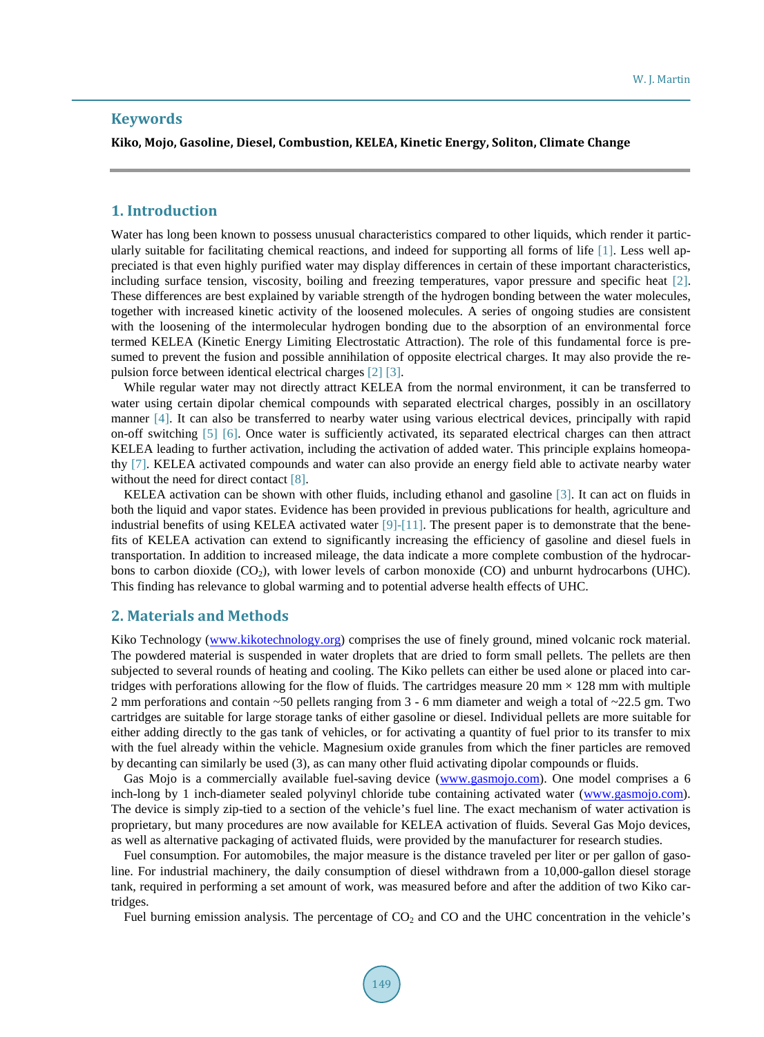# **Keywords**

#### **Kiko, Mojo, Gasoline, Diesel, Combustion, KELEA, Kinetic Energy, Soliton, Climate Change**

## **1. Introduction**

Water has long been known to possess unusual characteristics compared to other liquids, which render it particularly suitable for facilitating chemical reactions, and indeed for supporting all forms of life [\[1\].](#page-5-0) Less well appreciated is that even highly purified water may display differences in certain of these important characteristics, including surface tension, viscosity, boiling and freezing temperatures, vapor pressure and specific heat [\[2\].](#page-5-1) These differences are best explained by variable strength of the hydrogen bonding between the water molecules, together with increased kinetic activity of the loosened molecules. A series of ongoing studies are consistent with the loosening of the intermolecular hydrogen bonding due to the absorption of an environmental force termed KELEA (Kinetic Energy Limiting Electrostatic Attraction). The role of this fundamental force is presumed to prevent the fusion and possible annihilation of opposite electrical charges. It may also provide the repulsion force between identical electrical charge[s \[2\]](#page-5-1) [\[3\].](#page-5-2)

While regular water may not directly attract KELEA from the normal environment, it can be transferred to water using certain dipolar chemical compounds with separated electrical charges, possibly in an oscillatory manner [\[4\].](#page-5-3) It can also be transferred to nearby water using various electrical devices, principally with rapid on-off switching [\[5\]](#page-5-4) [\[6\].](#page-5-5) Once water is sufficiently activated, its separated electrical charges can then attract KELEA leading to further activation, including the activation of added water. This principle explains homeopathy [\[7\].](#page-5-6) KELEA activated compounds and water can also provide an energy field able to activate nearby water without the need for direct contact [\[8\].](#page-5-7)

KELEA activation can be shown with other fluids, including ethanol and gasoline [\[3\].](#page-5-2) It can act on fluids in both the liquid and vapor states. Evidence has been provided in previous publications for health, agriculture and industrial benefits of using KELEA activated water [\[9\]-](#page-5-8)[\[11\].](#page-5-9) The present paper is to demonstrate that the benefits of KELEA activation can extend to significantly increasing the efficiency of gasoline and diesel fuels in transportation. In addition to increased mileage, the data indicate a more complete combustion of the hydrocarbons to carbon dioxide  $(CO_2)$ , with lower levels of carbon monoxide  $(CO)$  and unburnt hydrocarbons (UHC). This finding has relevance to global warming and to potential adverse health effects of UHC.

#### **2. Materials and Methods**

Kiko Technology [\(www.kikotechnology.org\)](http://www.kikotechnology.org/) comprises the use of finely ground, mined volcanic rock material. The powdered material is suspended in water droplets that are dried to form small pellets. The pellets are then subjected to several rounds of heating and cooling. The Kiko pellets can either be used alone or placed into cartridges with perforations allowing for the flow of fluids. The cartridges measure 20 mm  $\times$  128 mm with multiple 2 mm perforations and contain ~50 pellets ranging from 3 - 6 mm diameter and weigh a total of ~22.5 gm. Two cartridges are suitable for large storage tanks of either gasoline or diesel. Individual pellets are more suitable for either adding directly to the gas tank of vehicles, or for activating a quantity of fuel prior to its transfer to mix with the fuel already within the vehicle. Magnesium oxide granules from which the finer particles are removed by decanting can similarly be used (3), as can many other fluid activating dipolar compounds or fluids.

Gas Mojo is a commercially available fuel-saving device [\(www.gasmojo.com\)](http://www.gasmojo.com/). One model comprises a 6 inch-long by 1 inch-diameter sealed polyvinyl chloride tube containing activated water [\(www.gasmojo.com\)](http://www.gasmojo.com/). The device is simply zip-tied to a section of the vehicle's fuel line. The exact mechanism of water activation is proprietary, but many procedures are now available for KELEA activation of fluids. Several Gas Mojo devices, as well as alternative packaging of activated fluids, were provided by the manufacturer for research studies.

Fuel consumption. For automobiles, the major measure is the distance traveled per liter or per gallon of gasoline. For industrial machinery, the daily consumption of diesel withdrawn from a 10,000-gallon diesel storage tank, required in performing a set amount of work, was measured before and after the addition of two Kiko cartridges.

Fuel burning emission analysis. The percentage of  $CO<sub>2</sub>$  and CO and the UHC concentration in the vehicle's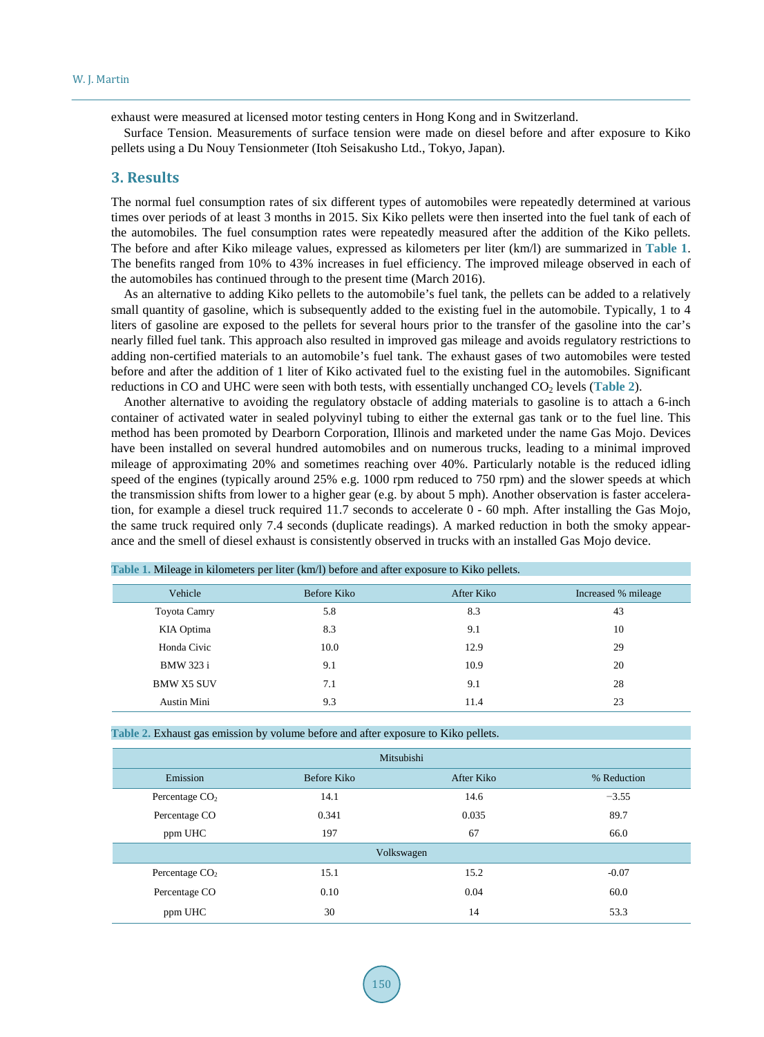exhaust were measured at licensed motor testing centers in Hong Kong and in Switzerland.

Surface Tension. Measurements of surface tension were made on diesel before and after exposure to Kiko pellets using a Du Nouy Tensionmeter (Itoh Seisakusho Ltd., Tokyo, Japan).

### **3. Results**

The normal fuel consumption rates of six different types of automobiles were repeatedly determined at various times over periods of at least 3 months in 2015. Six Kiko pellets were then inserted into the fuel tank of each of the automobiles. The fuel consumption rates were repeatedly measured after the addition of the Kiko pellets. The before and after Kiko mileage values, expressed as kilometers per liter (km/l) are summarized in **[Table 1](#page-2-0)**. The benefits ranged from 10% to 43% increases in fuel efficiency. The improved mileage observed in each of the automobiles has continued through to the present time (March 2016).

As an alternative to adding Kiko pellets to the automobile's fuel tank, the pellets can be added to a relatively small quantity of gasoline, which is subsequently added to the existing fuel in the automobile. Typically, 1 to 4 liters of gasoline are exposed to the pellets for several hours prior to the transfer of the gasoline into the car's nearly filled fuel tank. This approach also resulted in improved gas mileage and avoids regulatory restrictions to adding non-certified materials to an automobile's fuel tank. The exhaust gases of two automobiles were tested before and after the addition of 1 liter of Kiko activated fuel to the existing fuel in the automobiles. Significant reductions in CO and UHC were seen with both tests, with essentially unchanged CO<sub>2</sub> levels ([Table 2](#page-2-1)).

Another alternative to avoiding the regulatory obstacle of adding materials to gasoline is to attach a 6-inch container of activated water in sealed polyvinyl tubing to either the external gas tank or to the fuel line. This method has been promoted by Dearborn Corporation, Illinois and marketed under the name Gas Mojo. Devices have been installed on several hundred automobiles and on numerous trucks, leading to a minimal improved mileage of approximating 20% and sometimes reaching over 40%. Particularly notable is the reduced idling speed of the engines (typically around 25% e.g. 1000 rpm reduced to 750 rpm) and the slower speeds at which the transmission shifts from lower to a higher gear (e.g. by about 5 mph). Another observation is faster acceleration, for example a diesel truck required 11.7 seconds to accelerate 0 - 60 mph. After installing the Gas Mojo, the same truck required only 7.4 seconds (duplicate readings). A marked reduction in both the smoky appearance and the smell of diesel exhaust is consistently observed in trucks with an installed Gas Mojo device.

| Vehicle           | Before Kiko | After Kiko | Increased % mileage |
|-------------------|-------------|------------|---------------------|
| Toyota Camry      | 5.8         | 8.3        | 43                  |
| KIA Optima        | 8.3         | 9.1        | 10                  |
| Honda Civic       | 10.0        | 12.9       | 29                  |
| BMW 323 i         | 9.1         | 10.9       | 20                  |
| <b>BMW X5 SUV</b> | 7.1         | 9.1        | 28                  |
| Austin Mini       | 9.3         | 11.4       | 23                  |

<span id="page-2-0"></span>**Table 1.** Mileage in kilometers per liter (km/l) before and after exposure to Kiko pellets.

<span id="page-2-1"></span>**Table 2.** Exhaust gas emission by volume before and after exposure to Kiko pellets.

| Mitsubishi       |             |            |             |  |
|------------------|-------------|------------|-------------|--|
| Emission         | Before Kiko | After Kiko | % Reduction |  |
| Percentage $CO2$ | 14.1        | 14.6       | $-3.55$     |  |
| Percentage CO    | 0.341       | 0.035      | 89.7        |  |
| ppm UHC          | 197         | 67         | 66.0        |  |
| Volkswagen       |             |            |             |  |
| Percentage $CO2$ | 15.1        | 15.2       | $-0.07$     |  |
| Percentage CO    | 0.10        | 0.04       | 60.0        |  |
| ppm UHC          | 30          | 14         | 53.3        |  |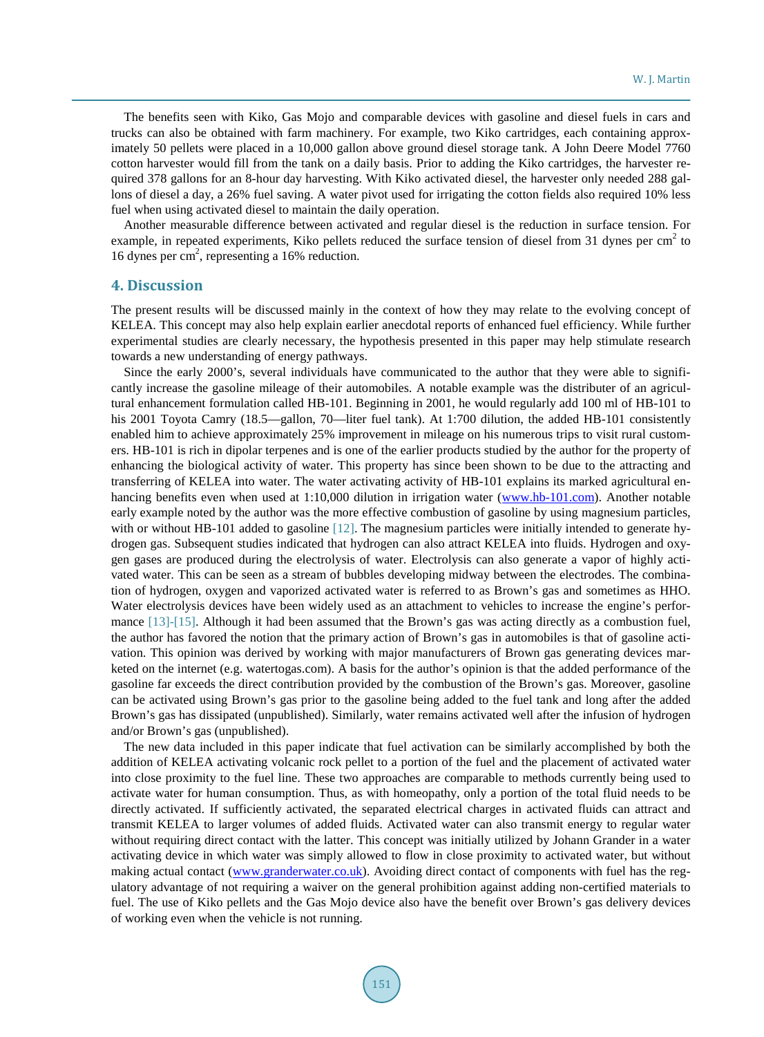The benefits seen with Kiko, Gas Mojo and comparable devices with gasoline and diesel fuels in cars and trucks can also be obtained with farm machinery. For example, two Kiko cartridges, each containing approximately 50 pellets were placed in a 10,000 gallon above ground diesel storage tank. A John Deere Model 7760 cotton harvester would fill from the tank on a daily basis. Prior to adding the Kiko cartridges, the harvester required 378 gallons for an 8-hour day harvesting. With Kiko activated diesel, the harvester only needed 288 gallons of diesel a day, a 26% fuel saving. A water pivot used for irrigating the cotton fields also required 10% less fuel when using activated diesel to maintain the daily operation.

Another measurable difference between activated and regular diesel is the reduction in surface tension. For example, in repeated experiments, Kiko pellets reduced the surface tension of diesel from 31 dynes per cm<sup>2</sup> to 16 dynes per cm<sup>2</sup>, representing a 16% reduction.

#### **4. Discussion**

The present results will be discussed mainly in the context of how they may relate to the evolving concept of KELEA. This concept may also help explain earlier anecdotal reports of enhanced fuel efficiency. While further experimental studies are clearly necessary, the hypothesis presented in this paper may help stimulate research towards a new understanding of energy pathways.

Since the early 2000's, several individuals have communicated to the author that they were able to significantly increase the gasoline mileage of their automobiles. A notable example was the distributer of an agricultural enhancement formulation called HB-101. Beginning in 2001, he would regularly add 100 ml of HB-101 to his 2001 Toyota Camry (18.5—gallon, 70—liter fuel tank). At 1:700 dilution, the added HB-101 consistently enabled him to achieve approximately 25% improvement in mileage on his numerous trips to visit rural customers. HB-101 is rich in dipolar terpenes and is one of the earlier products studied by the author for the property of enhancing the biological activity of water. This property has since been shown to be due to the attracting and transferring of KELEA into water. The water activating activity of HB-101 explains its marked agricultural en-hancing benefits even when used at 1:10,000 dilution in irrigation water [\(www.hb-101.com\)](http://www.hb-101.com/). Another notable early example noted by the author was the more effective combustion of gasoline by using magnesium particles, with or without HB-101 added to gasoline [\[12\].](#page-5-10) The magnesium particles were initially intended to generate hydrogen gas. Subsequent studies indicated that hydrogen can also attract KELEA into fluids. Hydrogen and oxygen gases are produced during the electrolysis of water. Electrolysis can also generate a vapor of highly activated water. This can be seen as a stream of bubbles developing midway between the electrodes. The combination of hydrogen, oxygen and vaporized activated water is referred to as Brown's gas and sometimes as HHO. Water electrolysis devices have been widely used as an attachment to vehicles to increase the engine's performance [\[13\]-](#page-5-11)[\[15\].](#page-6-0) Although it had been assumed that the Brown's gas was acting directly as a combustion fuel, the author has favored the notion that the primary action of Brown's gas in automobiles is that of gasoline activation. This opinion was derived by working with major manufacturers of Brown gas generating devices marketed on the internet (e.g. watertogas.com). A basis for the author's opinion is that the added performance of the gasoline far exceeds the direct contribution provided by the combustion of the Brown's gas. Moreover, gasoline can be activated using Brown's gas prior to the gasoline being added to the fuel tank and long after the added Brown's gas has dissipated (unpublished). Similarly, water remains activated well after the infusion of hydrogen and/or Brown's gas (unpublished).

The new data included in this paper indicate that fuel activation can be similarly accomplished by both the addition of KELEA activating volcanic rock pellet to a portion of the fuel and the placement of activated water into close proximity to the fuel line. These two approaches are comparable to methods currently being used to activate water for human consumption. Thus, as with homeopathy, only a portion of the total fluid needs to be directly activated. If sufficiently activated, the separated electrical charges in activated fluids can attract and transmit KELEA to larger volumes of added fluids. Activated water can also transmit energy to regular water without requiring direct contact with the latter. This concept was initially utilized by Johann Grander in a water activating device in which water was simply allowed to flow in close proximity to activated water, but without making actual contact [\(www.granderwater.co.uk\)](http://www.granderwater.co.uk/). Avoiding direct contact of components with fuel has the regulatory advantage of not requiring a waiver on the general prohibition against adding non-certified materials to fuel. The use of Kiko pellets and the Gas Mojo device also have the benefit over Brown's gas delivery devices of working even when the vehicle is not running.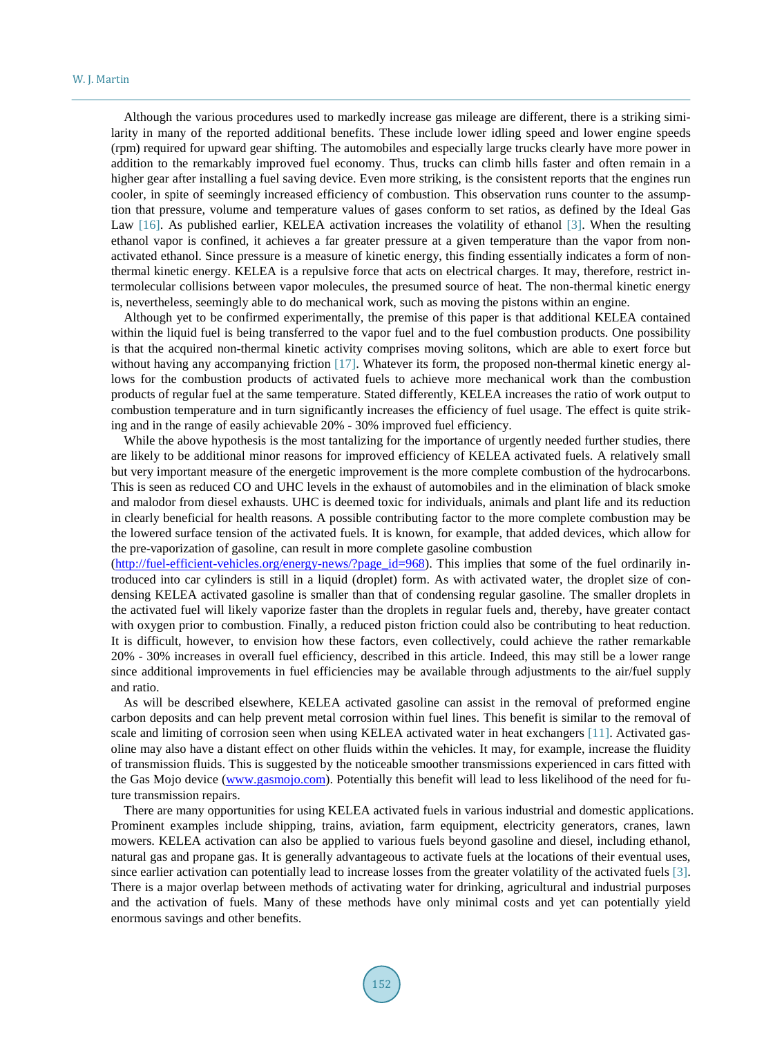Although the various procedures used to markedly increase gas mileage are different, there is a striking similarity in many of the reported additional benefits. These include lower idling speed and lower engine speeds (rpm) required for upward gear shifting. The automobiles and especially large trucks clearly have more power in addition to the remarkably improved fuel economy. Thus, trucks can climb hills faster and often remain in a higher gear after installing a fuel saving device. Even more striking, is the consistent reports that the engines run cooler, in spite of seemingly increased efficiency of combustion. This observation runs counter to the assumption that pressure, volume and temperature values of gases conform to set ratios, as defined by the Ideal Gas Law [\[16\].](#page-6-1) As published earlier, KELEA activation increases the volatility of ethanol [\[3\].](#page-5-2) When the resulting ethanol vapor is confined, it achieves a far greater pressure at a given temperature than the vapor from nonactivated ethanol. Since pressure is a measure of kinetic energy, this finding essentially indicates a form of nonthermal kinetic energy. KELEA is a repulsive force that acts on electrical charges. It may, therefore, restrict intermolecular collisions between vapor molecules, the presumed source of heat. The non-thermal kinetic energy is, nevertheless, seemingly able to do mechanical work, such as moving the pistons within an engine.

Although yet to be confirmed experimentally, the premise of this paper is that additional KELEA contained within the liquid fuel is being transferred to the vapor fuel and to the fuel combustion products. One possibility is that the acquired non-thermal kinetic activity comprises moving solitons, which are able to exert force but without having any accompanying friction [\[17\].](#page-6-2) Whatever its form, the proposed non-thermal kinetic energy allows for the combustion products of activated fuels to achieve more mechanical work than the combustion products of regular fuel at the same temperature. Stated differently, KELEA increases the ratio of work output to combustion temperature and in turn significantly increases the efficiency of fuel usage. The effect is quite striking and in the range of easily achievable 20% - 30% improved fuel efficiency.

While the above hypothesis is the most tantalizing for the importance of urgently needed further studies, there are likely to be additional minor reasons for improved efficiency of KELEA activated fuels. A relatively small but very important measure of the energetic improvement is the more complete combustion of the hydrocarbons. This is seen as reduced CO and UHC levels in the exhaust of automobiles and in the elimination of black smoke and malodor from diesel exhausts. UHC is deemed toxic for individuals, animals and plant life and its reduction in clearly beneficial for health reasons. A possible contributing factor to the more complete combustion may be the lowered surface tension of the activated fuels. It is known, for example, that added devices, which allow for the pre-vaporization of gasoline, can result in more complete gasoline combustion

[\(http://fuel-efficient-vehicles.org/energy-news/?page\\_id=968\)](http://fuel-efficient-vehicles.org/energy-news/?page_id=968). This implies that some of the fuel ordinarily introduced into car cylinders is still in a liquid (droplet) form. As with activated water, the droplet size of condensing KELEA activated gasoline is smaller than that of condensing regular gasoline. The smaller droplets in the activated fuel will likely vaporize faster than the droplets in regular fuels and, thereby, have greater contact with oxygen prior to combustion. Finally, a reduced piston friction could also be contributing to heat reduction. It is difficult, however, to envision how these factors, even collectively, could achieve the rather remarkable 20% - 30% increases in overall fuel efficiency, described in this article. Indeed, this may still be a lower range since additional improvements in fuel efficiencies may be available through adjustments to the air/fuel supply and ratio.

As will be described elsewhere, KELEA activated gasoline can assist in the removal of preformed engine carbon deposits and can help prevent metal corrosion within fuel lines. This benefit is similar to the removal of scale and limiting of corrosion seen when using KELEA activated water in heat exchangers [\[11\].](#page-5-9) Activated gasoline may also have a distant effect on other fluids within the vehicles. It may, for example, increase the fluidity of transmission fluids. This is suggested by the noticeable smoother transmissions experienced in cars fitted with the Gas Mojo device [\(www.gasmojo.com\)](http://www.gasmojo.com/). Potentially this benefit will lead to less likelihood of the need for future transmission repairs.

There are many opportunities for using KELEA activated fuels in various industrial and domestic applications. Prominent examples include shipping, trains, aviation, farm equipment, electricity generators, cranes, lawn mowers. KELEA activation can also be applied to various fuels beyond gasoline and diesel, including ethanol, natural gas and propane gas. It is generally advantageous to activate fuels at the locations of their eventual uses, since earlier activation can potentially lead to increase losses from the greater volatility of the activated fuels [\[3\].](#page-5-2) There is a major overlap between methods of activating water for drinking, agricultural and industrial purposes and the activation of fuels. Many of these methods have only minimal costs and yet can potentially yield enormous savings and other benefits.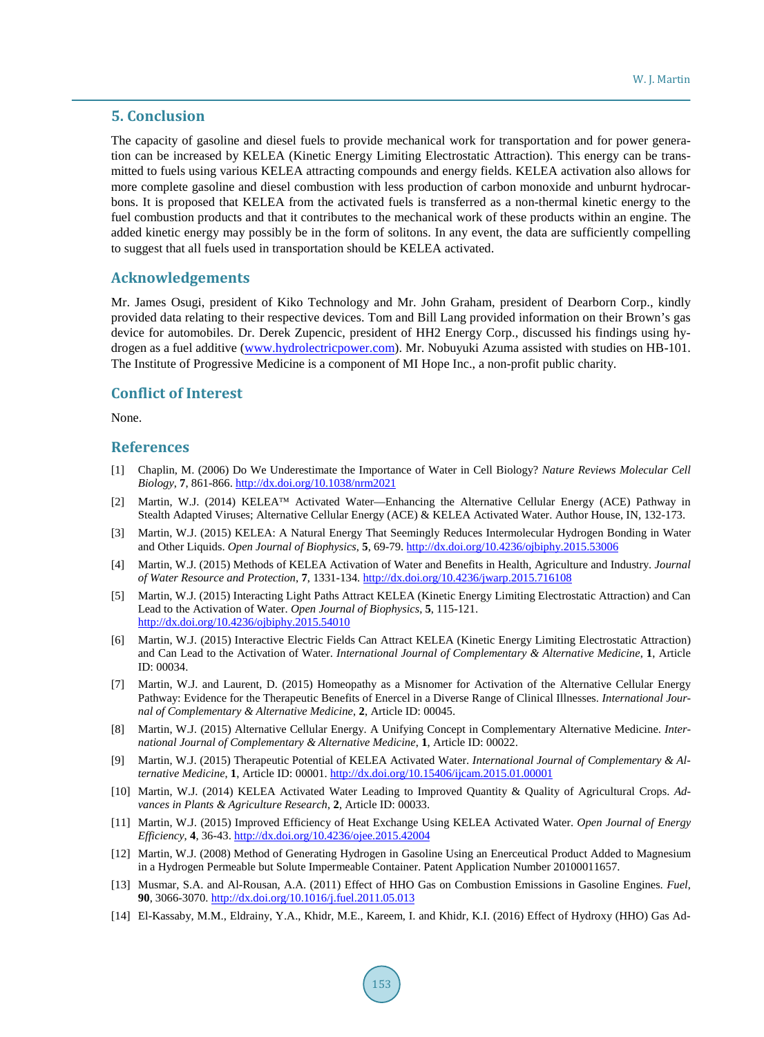#### **5. Conclusion**

The capacity of gasoline and diesel fuels to provide mechanical work for transportation and for power generation can be increased by KELEA (Kinetic Energy Limiting Electrostatic Attraction). This energy can be transmitted to fuels using various KELEA attracting compounds and energy fields. KELEA activation also allows for more complete gasoline and diesel combustion with less production of carbon monoxide and unburnt hydrocarbons. It is proposed that KELEA from the activated fuels is transferred as a non-thermal kinetic energy to the fuel combustion products and that it contributes to the mechanical work of these products within an engine. The added kinetic energy may possibly be in the form of solitons. In any event, the data are sufficiently compelling to suggest that all fuels used in transportation should be KELEA activated.

## **Acknowledgements**

Mr. James Osugi, president of Kiko Technology and Mr. John Graham, president of Dearborn Corp., kindly provided data relating to their respective devices. Tom and Bill Lang provided information on their Brown's gas device for automobiles. Dr. Derek Zupencic, president of HH2 Energy Corp., discussed his findings using hydrogen as a fuel additive [\(www.hydrolectricpower.com\)](http://www.hydrolectricpower.com/). Mr. Nobuyuki Azuma assisted with studies on HB-101. The Institute of Progressive Medicine is a component of MI Hope Inc., a non-profit public charity.

## **Conflict of Interest**

None.

#### **References**

- <span id="page-5-0"></span>[1] Chaplin, M. (2006) Do We Underestimate the Importance of Water in Cell Biology? *Nature Reviews Molecular Cell Biology*, **7**, 861-866. <http://dx.doi.org/10.1038/nrm2021>
- <span id="page-5-1"></span>[2] Martin, W.J. (2014) KELEA™ Activated Water—Enhancing the Alternative Cellular Energy (ACE) Pathway in Stealth Adapted Viruses; Alternative Cellular Energy (ACE) & KELEA Activated Water. Author House, IN, 132-173.
- <span id="page-5-2"></span>[3] Martin, W.J. (2015) KELEA: A Natural Energy That Seemingly Reduces Intermolecular Hydrogen Bonding in Water and Other Liquids. *Open Journal of Biophysics*, **5**, 69-79. <http://dx.doi.org/10.4236/ojbiphy.2015.53006>
- <span id="page-5-3"></span>[4] Martin, W.J. (2015) Methods of KELEA Activation of Water and Benefits in Health, Agriculture and Industry. *Journal of Water Resource and Protection*, **7**, 1331-134. <http://dx.doi.org/10.4236/jwarp.2015.716108>
- <span id="page-5-4"></span>[5] Martin, W.J. (2015) Interacting Light Paths Attract KELEA (Kinetic Energy Limiting Electrostatic Attraction) and Can Lead to the Activation of Water. *Open Journal of Biophysics*, **5**, 115-121. <http://dx.doi.org/10.4236/ojbiphy.2015.54010>
- <span id="page-5-5"></span>[6] Martin, W.J. (2015) Interactive Electric Fields Can Attract KELEA (Kinetic Energy Limiting Electrostatic Attraction) and Can Lead to the Activation of Water. *International Journal of Complementary & Alternative Medicine*, **1**, Article ID: 00034.
- <span id="page-5-6"></span>[7] Martin, W.J. and Laurent, D. (2015) Homeopathy as a Misnomer for Activation of the Alternative Cellular Energy Pathway: Evidence for the Therapeutic Benefits of Enercel in a Diverse Range of Clinical Illnesses. *International Journal of Complementary & Alternative Medicine*, **2**, Article ID: 00045.
- <span id="page-5-7"></span>[8] Martin, W.J. (2015) Alternative Cellular Energy. A Unifying Concept in Complementary Alternative Medicine. *International Journal of Complementary & Alternative Medicine*, **1**, Article ID: 00022.
- <span id="page-5-8"></span>[9] Martin, W.J. (2015) Therapeutic Potential of KELEA Activated Water. *International Journal of Complementary & Alternative Medicine*, **1**, Article ID: 00001. <http://dx.doi.org/10.15406/ijcam.2015.01.00001>
- [10] Martin, W.J. (2014) KELEA Activated Water Leading to Improved Quantity & Quality of Agricultural Crops. *Advances in Plants & Agriculture Research*, **2**, Article ID: 00033.
- <span id="page-5-9"></span>[11] Martin, W.J. (2015) Improved Efficiency of Heat Exchange Using KELEA Activated Water. *Open Journal of Energy Efficiency*, **4**, 36-43. <http://dx.doi.org/10.4236/ojee.2015.42004>
- <span id="page-5-10"></span>[12] Martin, W.J. (2008) Method of Generating Hydrogen in Gasoline Using an Enerceutical Product Added to Magnesium in a Hydrogen Permeable but Solute Impermeable Container. Patent Application Number 20100011657.
- <span id="page-5-11"></span>[13] Musmar, S.A. and Al-Rousan, A.A. (2011) Effect of HHO Gas on Combustion Emissions in Gasoline Engines. *Fuel*, **90**, 3066-3070. <http://dx.doi.org/10.1016/j.fuel.2011.05.013>
- [14] El-Kassaby, M.M., Eldrainy, Y.A., Khidr, M.E., Kareem, I. and Khidr, K.I. (2016) Effect of Hydroxy (HHO) Gas Ad-